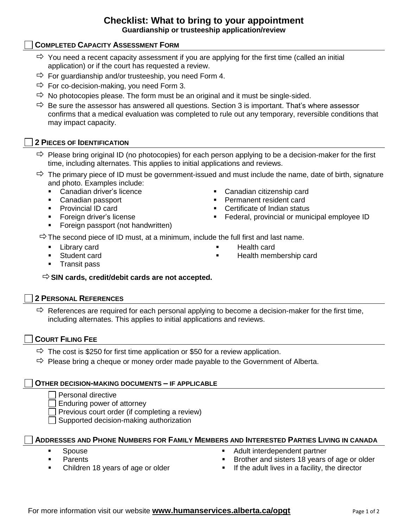# **Checklist: What to bring to your appointment Guardianship or trusteeship application/review**

# **COMPLETED CAPACITY ASSESSMENT FORM**

- $\Rightarrow$  You need a recent capacity assessment if you are applying for the first time (called an initial application) or if the court has requested a review.
- $\Rightarrow$  For guardianship and/or trusteeship, you need Form 4.
- $\Rightarrow$  For co-decision-making, you need Form 3.
- $\Rightarrow$  No photocopies please. The form must be an original and it must be single-sided.
- $\Rightarrow$  Be sure the assessor has answered all questions. Section 3 is important. That's where assessor confirms that a medical evaluation was completed to rule out any temporary, reversible conditions that may impact capacity.

#### **2 PIECES OF IDENTIFICATION**

- $\Rightarrow$  Please bring original ID (no photocopies) for each person applying to be a decision-maker for the first time, including alternates. This applies to initial applications and reviews.
- $\Rightarrow$  The primary piece of ID must be government-issued and must include the name, date of birth, signature and photo. Examples include:
	- Canadian driver's licence
	- Canadian passport
	- **Provincial ID card**
	- **Foreign driver's license**
	- **Foreign passport (not handwritten)**
- Canadian citizenship card
- **Permanent resident card**
- **•** Certificate of Indian status
- **Federal, provincial or municipal employee ID**

 $\Rightarrow$  The second piece of ID must, at a minimum, include the full first and last name.

**Library card** 

Health card

Student card

Health membership card

**Transit pass** 

#### **SIN cards, credit/debit cards are not accepted.**

#### **2 PERSONAL REFERENCES**

 $\Rightarrow$  References are required for each personal applying to become a decision-maker for the first time, including alternates. This applies to initial applications and reviews.

#### **COURT FILING FEE**

- $\Rightarrow$  The cost is \$250 for first time application or \$50 for a review application.
- $\Rightarrow$  Please bring a cheque or money order made payable to the Government of Alberta.

#### **OTHER DECISION-MAKING DOCUMENTS – IF APPLICABLE**

- Personal directive
- Enduring power of attorney

Previous court order (if completing a review)

Supported decision-making authorization

#### **ADDRESSES AND PHONE NUMBERS FOR FAMILY MEMBERS AND INTERESTED PARTIES LIVING IN CANADA**

- Spouse
- **Parents**
- Children 18 years of age or older
- Adult interdependent partner
- Brother and sisters 18 years of age or older
- $\blacksquare$  If the adult lives in a facility, the director